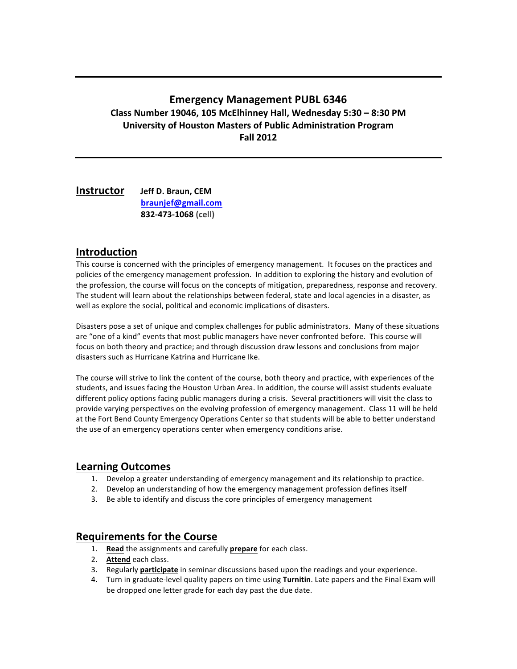# **Emergency Management PUBL 6346 Class!Number!19046,!105!McElhinney!Hall,!Wednesday 5:30!– 8:30!PM University of Houston Masters of Public Administration Program Fall 2012**

**Instructor** Jeff D. Braun, CEM **!!!!!!!!!! !!braunjef@gmail.com !!832S473S1068 (cell)**

## **Introduction**

This course is concerned with the principles of emergency management. It focuses on the practices and policies of the emergency management profession. In addition to exploring the history and evolution of the profession, the course will focus on the concepts of mitigation, preparedness, response and recovery. The student will learn about the relationships between federal, state and local agencies in a disaster, as well as explore the social, political and economic implications of disasters.

Disasters pose a set of unique and complex challenges for public administrators. Many of these situations are "one of a kind" events that most public managers have never confronted before. This course will focus on both theory and practice; and through discussion draw lessons and conclusions from major disasters such as Hurricane Katrina and Hurricane Ike.

The course will strive to link the content of the course, both theory and practice, with experiences of the students, and issues facing the Houston Urban Area. In addition, the course will assist students evaluate different policy options facing public managers during a crisis. Several practitioners will visit the class to provide varying perspectives on the evolving profession of emergency management. Class 11 will be held at the Fort Bend County Emergency Operations Center so that students will be able to better understand the use of an emergency operations center when emergency conditions arise.

## **Learning!Outcomes**

- 1. Develop a greater understanding of emergency management and its relationship to practice.
- 2. Develop an understanding of how the emergency management profession defines itself
- 3. Be able to identify and discuss the core principles of emergency management

## **Requirements for the Course**

- 1. **Read** the assignments and carefully **prepare** for each class.
- 2. **Attend** each class.
- 3. Regularly **participate** in seminar discussions based upon the readings and your experience.
- 4. Turn in graduate-level quality papers on time using **Turnitin**. Late papers and the Final Exam will be dropped one letter grade for each day past the due date.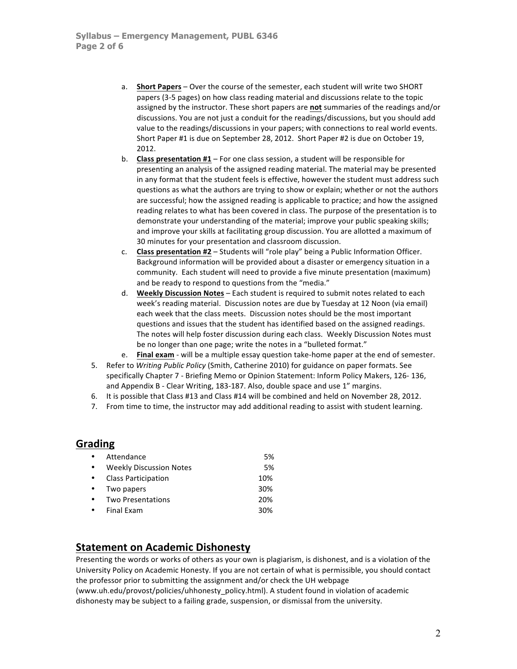- a. **Short Papers** Over the course of the semester, each student will write two SHORT papers (3-5 pages) on how class reading material and discussions relate to the topic assigned by the instructor. These short papers are not summaries of the readings and/or discussions. You are not just a conduit for the readings/discussions, but you should add value to the readings/discussions in your papers; with connections to real world events. Short Paper #1 is due on September 28, 2012. Short Paper #2 is due on October 19, 2012.
- b. **Class presentation #1** For one class session, a student will be responsible for presenting an analysis of the assigned reading material. The material may be presented in any format that the student feels is effective, however the student must address such questions as what the authors are trying to show or explain; whether or not the authors are successful; how the assigned reading is applicable to practice; and how the assigned reading relates to what has been covered in class. The purpose of the presentation is to demonstrate your understanding of the material; improve your public speaking skills; and improve your skills at facilitating group discussion. You are allotted a maximum of 30 minutes for your presentation and classroom discussion.
- c. **Class presentation #2** Students will "role play" being a Public Information Officer. Background information will be provided about a disaster or emergency situation in a community. Each student will need to provide a five minute presentation (maximum) and be ready to respond to questions from the "media."
- d. **Weekly Discussion Notes** Each student is required to submit notes related to each week's reading material. Discussion notes are due by Tuesday at 12 Noon (via email) each week that the class meets. Discussion notes should be the most important questions and issues that the student has identified based on the assigned readings. The notes will help foster discussion during each class. Weekly Discussion Notes must be no longer than one page; write the notes in a "bulleted format."
- e. **Final exam** will be a multiple essay question take-home paper at the end of semester.
- 5. Refer to *Writing Public Policy* (Smith, Catherine 2010) for guidance on paper formats. See specifically Chapter 7 - Briefing Memo or Opinion Statement: Inform Policy Makers, 126-136, and Appendix B - Clear Writing, 183-187. Also, double space and use 1" margins.
- 6. It is possible that Class #13 and Class #14 will be combined and held on November 28, 2012.
- 7. From time to time, the instructor may add additional reading to assist with student learning.

#### **Grading**

| $\bullet$ | Attendance                     | 5%  |
|-----------|--------------------------------|-----|
| $\bullet$ | <b>Weekly Discussion Notes</b> | 5%  |
| $\bullet$ | <b>Class Participation</b>     | 10% |
| $\bullet$ | Two papers                     | 30% |
| $\bullet$ | <b>Two Presentations</b>       | 20% |
| $\bullet$ | Final Exam                     | 30% |
|           |                                |     |

## **Statement on Academic Dishonesty**

Presenting the words or works of others as your own is plagiarism, is dishonest, and is a violation of the University Policy on Academic Honesty. If you are not certain of what is permissible, you should contact the professor prior to submitting the assignment and/or check the UH webpage

(www.uh.edu/provost/policies/uhhonesty\_policy.html). A student found in violation of academic dishonesty may be subject to a failing grade, suspension, or dismissal from the university.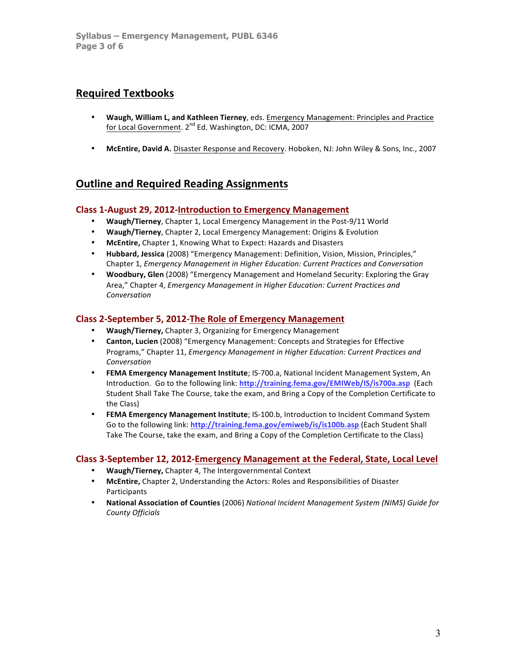# **Required!Textbooks**

- Waugh, William L, and Kathleen Tierney, eds. Emergency Management: Principles and Practice for Local Government. 2<sup>nd</sup> Ed. Washington, DC: ICMA, 2007
- McEntire, David A. Disaster Response and Recovery. Hoboken, NJ: John Wiley & Sons, Inc., 2007

# **Outline and Required Reading Assignments**

### **Class 1-August 29, 2012-Introduction to Emergency Management**

- Waugh/Tierney, Chapter 1, Local Emergency Management in the Post-9/11 World
- **Waugh/Tierney**, Chapter 2, Local Emergency Management: Origins & Evolution
- McEntire, Chapter 1, Knowing What to Expect: Hazards and Disasters
- Hubbard, Jessica (2008) "Emergency Management: Definition, Vision, Mission, Principles," Chapter!1,!*Emergency'Management'in'Higher'Education:'Current'Practices'and'Conversation*
- **Woodbury, Glen** (2008) "Emergency Management and Homeland Security: Exploring the Gray Area," Chapter 4, *Emergency Management in Higher Education: Current Practices and Conversation*

#### Class 2-September 5, 2012-The Role of Emergency Management

- **Waugh/Tierney, Chapter 3, Organizing for Emergency Management**
- **Canton, Lucien** (2008) "Emergency Management: Concepts and Strategies for Effective Programs," Chapter 11, *Emergency Management in Higher Education: Current Practices and Conversation*
- FEMA Emergency Management Institute; IS-700.a, National Incident Management System, An Introduction. Go to the following link: http://training.fema.gov/EMIWeb/IS/is700a.asp (Each Student Shall Take The Course, take the exam, and Bring a Copy of the Completion Certificate to the Class)
- **FEMA Emergency Management Institute**; IS-100.b, Introduction to Incident Command System Go to the following link: http://training.fema.gov/emiweb/is/is100b.asp (Each Student Shall Take The Course, take the exam, and Bring a Copy of the Completion Certificate to the Class)

#### **Class 3-September 12, 2012-Emergency Management at the Federal, State, Local Level**

- Waugh/Tierney, Chapter 4, The Intergovernmental Context
- **McEntire, Chapter 2, Understanding the Actors: Roles and Responsibilities of Disaster** Participants
- National Association of Counties (2006) National Incident Management System (NIMS) Guide for *County'Officials*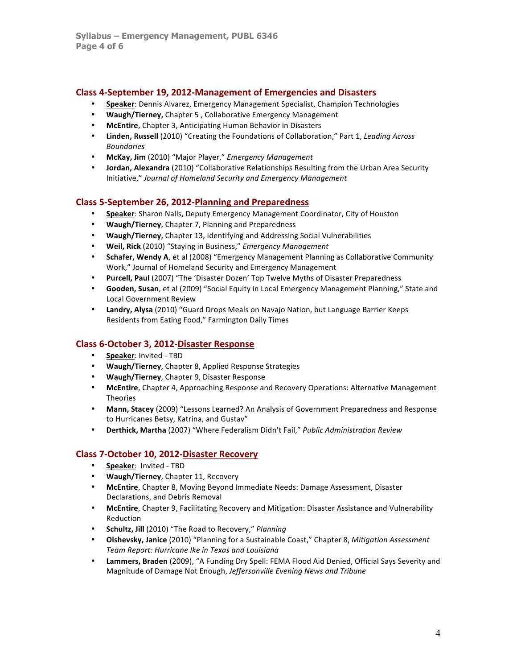## **Class 4-September 19, 2012-Management of Emergencies and Disasters**

- **Speaker**: Dennis Alvarez, Emergency Management Specialist, Champion Technologies
- Waugh/Tierney, Chapter 5, Collaborative Emergency Management
- **McEntire**, Chapter 3, Anticipating Human Behavior in Disasters
- Linden, Russell (2010) "Creating the Foundations of Collaboration," Part 1, *Leading Across Boundaries*
- **McKay,!Jim** (2010)!"Major!Player,"!*Emergency'Management*
- **Jordan, Alexandra** (2010) "Collaborative Relationships Resulting from the Urban Area Security Initiative,"!*Journal'of'Homeland'Security'and'Emergency'Management*

## **Class 5-September 26, 2012-Planning and Preparedness**

- **Speaker:** Sharon Nalls, Deputy Emergency Management Coordinator, City of Houston
- Waugh/Tierney, Chapter 7, Planning and Preparedness
- **Waugh/Tierney**, Chapter 13, Identifying and Addressing Social Vulnerabilities
- **Weil,!Rick** (2010)!"Staying!in!Business,"!*Emergency'Management*
- **Schafer, Wendy A**, et al (2008) "Emergency Management Planning as Collaborative Community Work," Journal of Homeland Security and Emergency Management
- **Purcell, Paul** (2007) "The 'Disaster Dozen' Top Twelve Myths of Disaster Preparedness
- **Gooden, Susan**, et al (2009) "Social Equity in Local Emergency Management Planning," State and Local Government Review
- Landry, Alysa (2010) "Guard Drops Meals on Navajo Nation, but Language Barrier Keeps Residents from Eating Food," Farmington Daily Times

## **Class 6-October 3, 2012-Disaster Response**

- **Speaker:** Invited TBD
- Waugh/Tierney, Chapter 8, Applied Response Strategies
- Waugh/Tierney, Chapter 9, Disaster Response
- McEntire, Chapter 4, Approaching Response and Recovery Operations: Alternative Management Theories
- Mann, Stacey (2009) "Lessons Learned? An Analysis of Government Preparedness and Response to Hurricanes Betsy, Katrina, and Gustav"
- Derthick, Martha (2007) "Where Federalism Didn't Fail," Public Administration Review

## **Class 7-October 10, 2012-Disaster Recovery**

- **Speaker: Invited TBD**
- Waugh/Tierney, Chapter 11, Recovery
- McEntire, Chapter 8, Moving Beyond Immediate Needs: Damage Assessment, Disaster Declarations, and Debris Removal
- McEntire, Chapter 9, Facilitating Recovery and Mitigation: Disaster Assistance and Vulnerability Reduction
- Schultz, Jill (2010) "The Road to Recovery," Planning
- **Olshevsky, Janice** (2010) "Planning for a Sustainable Coast," Chapter 8, *Mitigation Assessment Team'Report:'Hurricane'Ike'in'Texas'and'Louisiana*
- Lammers, Braden (2009), "A Funding Dry Spell: FEMA Flood Aid Denied, Official Says Severity and Magnitude of Damage Not Enough, Jeffersonville Evening News and Tribune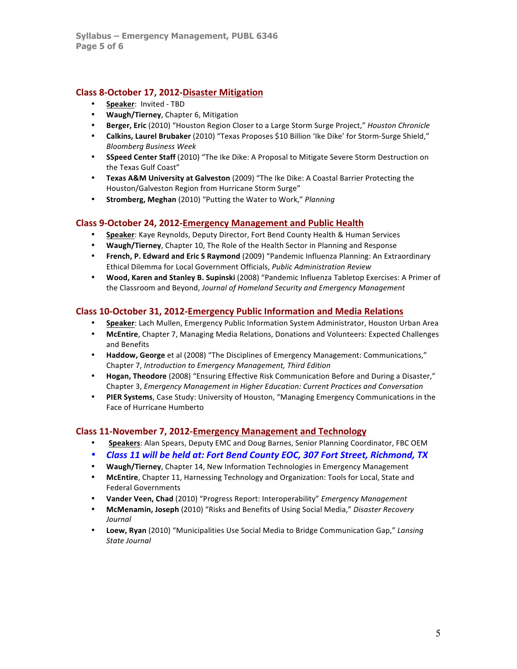## **Class 8-October 17, 2012-Disaster Mitigation**

- **Speaker: Invited TBD**
- Waugh/Tierney, Chapter 6, Mitigation
- **Berger, Eric** (2010) "Houston Region Closer to a Large Storm Surge Project," *Houston Chronicle*
- Calkins, Laurel Brubaker (2010) "Texas Proposes \$10 Billion 'Ike Dike' for Storm-Surge Shield," *Bloomberg'Business'Week*
- SSpeed Center Staff (2010) "The Ike Dike: A Proposal to Mitigate Severe Storm Destruction on the Texas Gulf Coast"
- **Texas A&M University at Galveston** (2009) "The Ike Dike: A Coastal Barrier Protecting the Houston/Galveston Region from Hurricane Storm Surge"
- **Stromberg, Meghan** (2010) "Putting the Water to Work," *Planning*

#### **Class 9-October 24, 2012-Emergency Management and Public Health**

- **Speaker**: Kaye Reynolds, Deputy Director, Fort Bend County Health & Human Services
- **Waugh/Tierney, Chapter 10, The Role of the Health Sector in Planning and Response**
- French, P. Edward and Eric S Raymond (2009) "Pandemic Influenza Planning: An Extraordinary Ethical Dilemma for Local Government Officials, Public Administration Review
- Wood, Karen and Stanley B. Supinski (2008) "Pandemic Influenza Tabletop Exercises: A Primer of the Classroom and Beyond, Journal of Homeland Security and Emergency Management

### **Class 10-October 31, 2012-Emergency Public Information and Media Relations**

- **Speaker**: Lach Mullen, Emergency Public Information System Administrator, Houston Urban Area
- McEntire, Chapter 7, Managing Media Relations, Donations and Volunteers: Expected Challenges and Benefits
- **Haddow, George** et al (2008) "The Disciplines of Emergency Management: Communications," Chapter!7,!*Introduction'to'Emergency'Management,'Third'Edition*
- **Hogan, Theodore** (2008) "Ensuring Effective Risk Communication Before and During a Disaster," Chapter!3,!*Emergency'Management'in'Higher'Education:'Current'Practices'and'Conversation*
- **PIER Systems**, Case Study: University of Houston, "Managing Emergency Communications in the Face of Hurricane Humberto

#### **Class 11-November 7, 2012-Emergency Management and Technology**

- **Speakers:** Alan Spears, Deputy EMC and Doug Barnes, Senior Planning Coordinator, FBC OEM
- Class 11 will be held at: Fort Bend County EOC, 307 Fort Street, Richmond, TX
- Waugh/Tierney, Chapter 14, New Information Technologies in Emergency Management
- **McEntire**, Chapter 11, Harnessing Technology and Organization: Tools for Local, State and Federal Governments
- Vander Veen, Chad (2010) "Progress Report: Interoperability" *Emergency Management*
- McMenamin, Joseph (2010) "Risks and Benefits of Using Social Media," Disaster Recovery *Journal*
- Loew, Ryan (2010) "Municipalities Use Social Media to Bridge Communication Gap," Lansing *State'Journal*